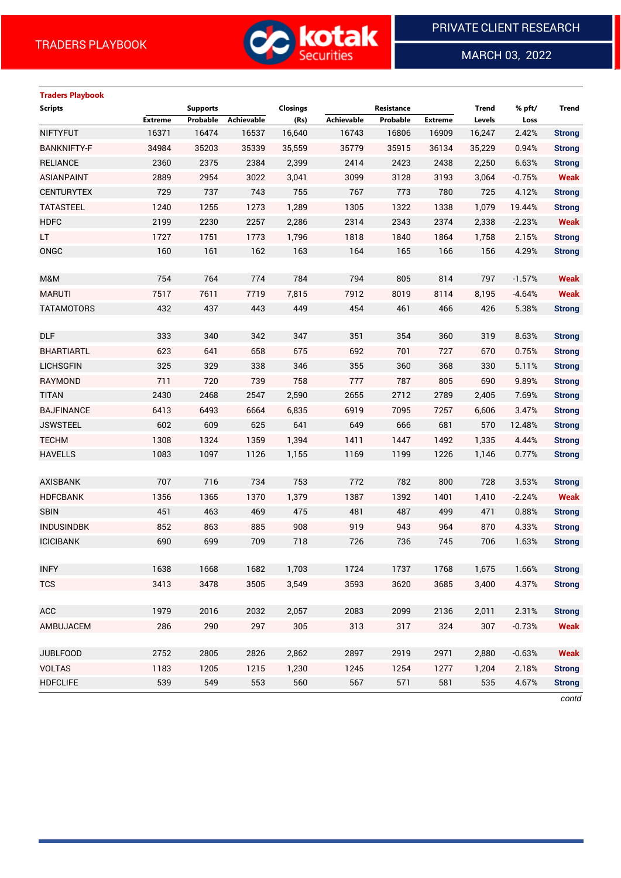

MARCH 03, 2022

 $\overline{a}$ 

# **Traders Playbook**

| <b>Scripts</b>     |                | <b>Supports</b> |                   | <b>Closings</b> |                   | Resistance |                | <b>Trend</b> | % pft/   | <b>Trend</b>  |
|--------------------|----------------|-----------------|-------------------|-----------------|-------------------|------------|----------------|--------------|----------|---------------|
|                    | <b>Extreme</b> | Probable        | <b>Achievable</b> | (Rs)            | <b>Achievable</b> | Probable   | <b>Extreme</b> | Levels       | Loss     |               |
| <b>NIFTYFUT</b>    | 16371          | 16474           | 16537             | 16,640          | 16743             | 16806      | 16909          | 16,247       | 2.42%    | <b>Strong</b> |
| <b>BANKNIFTY-F</b> | 34984          | 35203           | 35339             | 35,559          | 35779             | 35915      | 36134          | 35,229       | 0.94%    | <b>Strong</b> |
| <b>RELIANCE</b>    | 2360           | 2375            | 2384              | 2,399           | 2414              | 2423       | 2438           | 2,250        | 6.63%    | <b>Strong</b> |
| <b>ASIANPAINT</b>  | 2889           | 2954            | 3022              | 3,041           | 3099              | 3128       | 3193           | 3,064        | $-0.75%$ | <b>Weak</b>   |
| <b>CENTURYTEX</b>  | 729            | 737             | 743               | 755             | 767               | 773        | 780            | 725          | 4.12%    | <b>Strong</b> |
| <b>TATASTEEL</b>   | 1240           | 1255            | 1273              | 1,289           | 1305              | 1322       | 1338           | 1,079        | 19.44%   | <b>Strong</b> |
| <b>HDFC</b>        | 2199           | 2230            | 2257              | 2,286           | 2314              | 2343       | 2374           | 2,338        | $-2.23%$ | <b>Weak</b>   |
| LT.                | 1727           | 1751            | 1773              | 1,796           | 1818              | 1840       | 1864           | 1,758        | 2.15%    | <b>Strong</b> |
| ONGC               | 160            | 161             | 162               | 163             | 164               | 165        | 166            | 156          | 4.29%    | <b>Strong</b> |
|                    |                |                 |                   |                 |                   |            |                |              |          |               |
| M&M                | 754            | 764             | 774               | 784             | 794               | 805        | 814            | 797          | $-1.57%$ | <b>Weak</b>   |
| <b>MARUTI</b>      | 7517           | 7611            | 7719              | 7,815           | 7912              | 8019       | 8114           | 8,195        | $-4.64%$ | <b>Weak</b>   |
| <b>TATAMOTORS</b>  | 432            | 437             | 443               | 449             | 454               | 461        | 466            | 426          | 5.38%    | <b>Strong</b> |
|                    |                |                 |                   |                 |                   |            |                |              |          |               |
| <b>DLF</b>         | 333            | 340             | 342               | 347             | 351               | 354        | 360            | 319          | 8.63%    | <b>Strong</b> |
| <b>BHARTIARTL</b>  | 623            | 641             | 658               | 675             | 692               | 701        | 727            | 670          | 0.75%    | <b>Strong</b> |
| <b>LICHSGFIN</b>   | 325            | 329             | 338               | 346             | 355               | 360        | 368            | 330          | 5.11%    | <b>Strong</b> |
| <b>RAYMOND</b>     | 711            | 720             | 739               | 758             | 777               | 787        | 805            | 690          | 9.89%    | <b>Strong</b> |
| <b>TITAN</b>       | 2430           | 2468            | 2547              | 2,590           | 2655              | 2712       | 2789           | 2,405        | 7.69%    | <b>Strong</b> |
| <b>BAJFINANCE</b>  | 6413           | 6493            | 6664              | 6,835           | 6919              | 7095       | 7257           | 6,606        | 3.47%    | <b>Strong</b> |
| <b>JSWSTEEL</b>    | 602            | 609             | 625               | 641             | 649               | 666        | 681            | 570          | 12.48%   | <b>Strong</b> |
| <b>TECHM</b>       | 1308           | 1324            | 1359              | 1,394           | 1411              | 1447       | 1492           | 1,335        | 4.44%    | <b>Strong</b> |
| <b>HAVELLS</b>     | 1083           | 1097            | 1126              | 1,155           | 1169              | 1199       | 1226           | 1,146        | 0.77%    | <b>Strong</b> |
|                    |                |                 |                   |                 |                   |            |                |              |          |               |
| <b>AXISBANK</b>    | 707            | 716             | 734               | 753             | 772               | 782        | 800            | 728          | 3.53%    | <b>Strong</b> |
| <b>HDFCBANK</b>    | 1356           | 1365            | 1370              | 1,379           | 1387              | 1392       | 1401           | 1,410        | $-2.24%$ | <b>Weak</b>   |
| <b>SBIN</b>        | 451            | 463             | 469               | 475             | 481               | 487        | 499            | 471          | 0.88%    | <b>Strong</b> |
| <b>INDUSINDBK</b>  | 852            | 863             | 885               | 908             | 919               | 943        | 964            | 870          | 4.33%    | <b>Strong</b> |
| <b>ICICIBANK</b>   | 690            | 699             | 709               | 718             | 726               | 736        | 745            | 706          | 1.63%    | <b>Strong</b> |
|                    |                |                 |                   |                 |                   |            |                |              |          |               |
| <b>INFY</b>        | 1638           | 1668            | 1682              | 1,703           | 1724              | 1737       | 1768           | 1,675        | 1.66%    | <b>Strong</b> |
| <b>TCS</b>         | 3413           | 3478            | 3505              | 3,549           | 3593              | 3620       | 3685           | 3,400        | 4.37%    | <b>Strong</b> |
|                    |                |                 |                   |                 |                   |            |                |              |          |               |
| ACC                | 1979           | 2016            | 2032              | 2,057           | 2083              | 2099       | 2136           | 2,011        | 2.31%    | <b>Strong</b> |
| AMBUJACEM          | 286            | 290             | 297               | 305             | 313               | 317        | 324            | 307          | $-0.73%$ | <b>Weak</b>   |
|                    |                |                 |                   |                 |                   |            |                |              |          |               |
| <b>JUBLFOOD</b>    | 2752           | 2805            | 2826              | 2,862           | 2897              | 2919       | 2971           | 2,880        | $-0.63%$ | <b>Weak</b>   |
| <b>VOLTAS</b>      | 1183           | 1205            | 1215              | 1,230           | 1245              | 1254       | 1277           | 1,204        | 2.18%    | <b>Strong</b> |
| <b>HDFCLIFE</b>    | 539            | 549             | 553               | 560             | 567               | 571        | 581            | 535          | 4.67%    | <b>Strong</b> |
|                    |                |                 |                   |                 |                   |            |                |              |          |               |

*contd*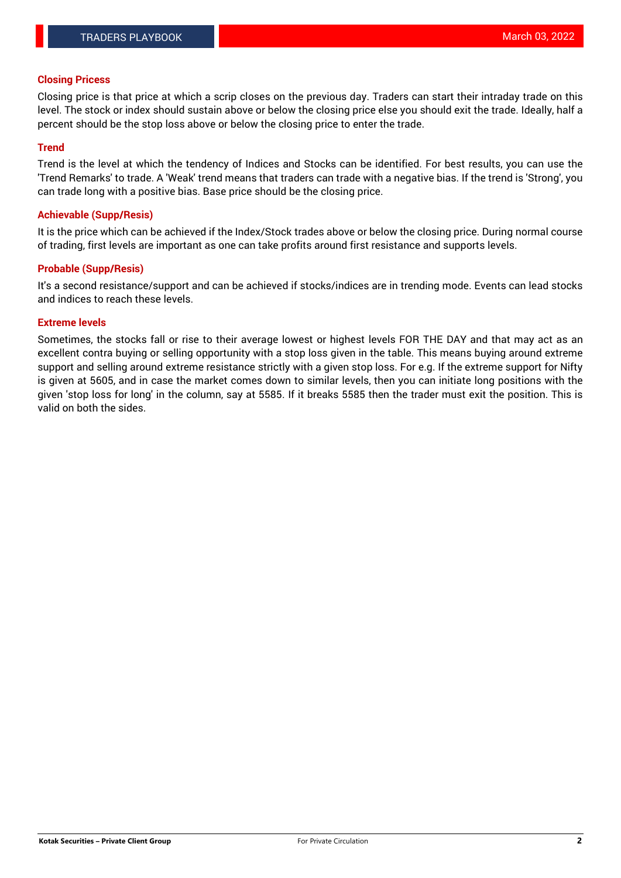#### **Closing Pricess**

Closing price is that price at which a scrip closes on the previous day. Traders can start their intraday trade on this level. The stock or index should sustain above or below the closing price else you should exit the trade. Ideally, half a percent should be the stop loss above or below the closing price to enter the trade.

#### **Trend**

Trend is the level at which the tendency of Indices and Stocks can be identified. For best results, you can use the 'Trend Remarks' to trade. A 'Weak' trend means that traders can trade with a negative bias. If the trend is 'Strong', you can trade long with a positive bias. Base price should be the closing price.

#### **Achievable (Supp/Resis)**

It is the price which can be achieved if the Index/Stock trades above or below the closing price. During normal course of trading, first levels are important as one can take profits around first resistance and supports levels.

## **Probable (Supp/Resis)**

It's a second resistance/support and can be achieved if stocks/indices are in trending mode. Events can lead stocks and indices to reach these levels.

## **Extreme levels**

Sometimes, the stocks fall or rise to their average lowest or highest levels FOR THE DAY and that may act as an excellent contra buying or selling opportunity with a stop loss given in the table. This means buying around extreme support and selling around extreme resistance strictly with a given stop loss. For e.g. If the extreme support for Nifty is given at 5605, and in case the market comes down to similar levels, then you can initiate long positions with the given 'stop loss for long' in the column, say at 5585. If it breaks 5585 then the trader must exit the position. This is valid on both the sides.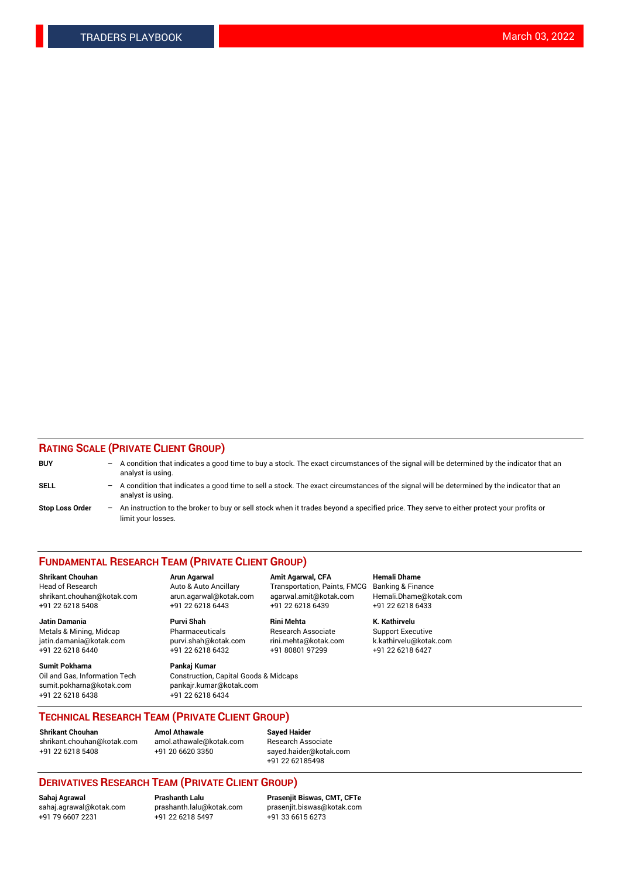## **RATING SCALE (PRIVATE CLIENT GROUP)**

| <b>BUY</b>             | $-$ | A condition that indicates a good time to buy a stock. The exact circumstances of the signal will be determined by the indicator that an<br>analyst is using.    |
|------------------------|-----|------------------------------------------------------------------------------------------------------------------------------------------------------------------|
| SELL                   |     | - A condition that indicates a good time to sell a stock. The exact circumstances of the signal will be determined by the indicator that an<br>analyst is using. |
| <b>Stop Loss Order</b> |     | An instruction to the broker to buy or sell stock when it trades beyond a specified price. They serve to either protect your profits or<br>limit your losses.    |

#### **FUNDAMENTAL RESEARCH TEAM (PRIVATE CLIENT GROUP)**

**Shrikant Chouhan Arun Agarwal Amit Agarwal, CFA Hemali Dhame** Head of Research Auto & Auto Ancillary Transportation, Paints, FMCG Banking & Finance shrikant.chouhan@kotak.com arun.agarwal@kotak.com agarwal.amit@kotak.com Hemali.Dhame@kotak.com

**Jatin Damania Purvi Shah Rini Mehta K. Kathirvelu** Metals & Mining, Midcap **Pharmaceuticals** Research Associate Support Executive jatin.damania@kotak.com [purvi.shah@kotak.com](mailto:purvi.shah@kotak.com) rini.mehta@kotak.com [k.kathirvelu@kotak.com](mailto:k.kathirvelu@kotak.com)  $+91$  22 6218 6440  $+91$  22 6218 6432

**Sumit Pokharna Pankaj Kumar** sumit.pokharna@kotak.com pankajr.kumar@kotak.com +91 22 6218 6438 +91 22 6218 6434

Oil and Gas, Information Tech Construction, Capital Goods & Midcaps

+91 22 6218 5408 +91 22 6218 6443 +91 22 6218 6439 +91 22 6218 6433

**TECHNICAL RESEARCH TEAM (PRIVATE CLIENT GROUP)**

**Shrikant Chouhan Amol Athawale Sayed Haider** [shrikant.chouhan@kotak.com](mailto:shrikant.chouhan@kotak.com) [amol.athawale@kotak.com](mailto:amol.athawale@kotak.com) Research Associate +91 22 6218 5408 +91 20 6620 3350 [sayed.haider@kotak.com](mailto:sayed.haider@kotak.com)

+91 22 62185498

# **DERIVATIVES RESEARCH TEAM (PRIVATE CLIENT GROUP)**

 $+91$  22 6218 5497

**Sahaj Agrawal Prashanth Lalu Prasenjit Biswas, CMT, CFTe** [sahaj.agrawal@kotak.com](mailto:sahaj.agrawal@kotak.com) [prashanth.lalu@kotak.com](mailto:prashanth.lalu@kotak.com) [prasenjit.biswas@kotak.com](mailto:prasenjit.biswas@kotak.com)